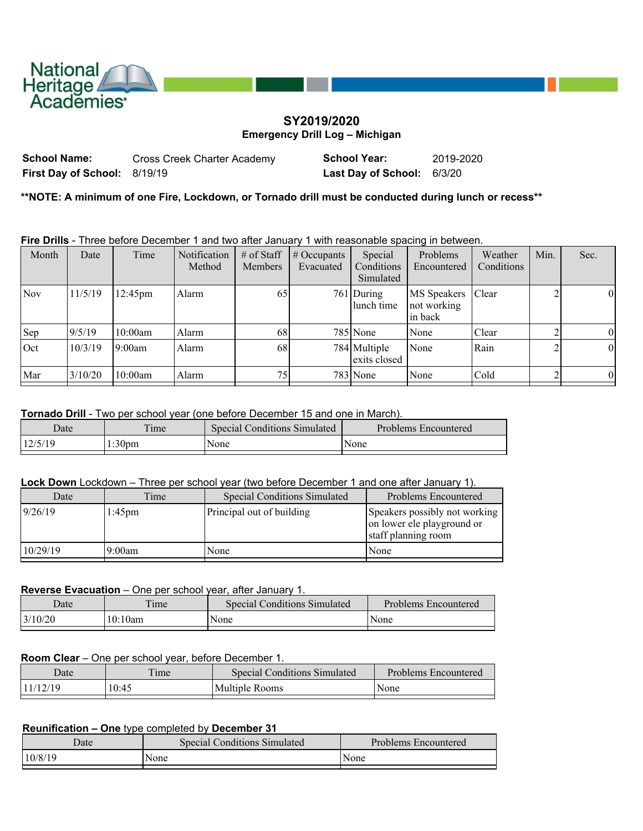

# **SY2019/2020 Emergency Drill Log – Michigan**

| <b>School Name:</b>                 | Cross Creek Charter Academy | <b>School Year:</b>        | 2019-2020 |
|-------------------------------------|-----------------------------|----------------------------|-----------|
| <b>First Day of School: 8/19/19</b> |                             | Last Day of School: 6/3/20 |           |

**\*\*NOTE: A minimum of one Fire, Lockdown, or Tornado drill must be conducted during lunch or recess\*\***

**Fire Drills** - Three before December 1 and two after January 1 with reasonable spacing in between.

| Month      | Date    | Time              | Notification<br>Method | $#$ of Staff<br><b>Members</b> | $\#$ Occupants<br>Evacuated | Special<br>Conditions<br>Simulated | Problems<br>Encountered                      | Weather<br>Conditions | Min. | Sec.     |
|------------|---------|-------------------|------------------------|--------------------------------|-----------------------------|------------------------------------|----------------------------------------------|-----------------------|------|----------|
| <b>Nov</b> | 11/5/19 | $12:45 \text{pm}$ | Alarm                  | 65                             |                             | 761 During<br>lunch time           | <b>MS</b> Speakers<br>not working<br>in back | <b>Clear</b>          |      | $\theta$ |
| Sep        | 9/5/19  | 10:00am           | Alarm                  | 68                             |                             | 785 None                           | None                                         | Clear                 |      | $\theta$ |
| Oct        | 10/3/19 | 9:00am            | Alarm                  | 68                             |                             | 784 Multiple<br>exits closed       | None                                         | Rain                  |      | $\theta$ |
| Mar        | 3/10/20 | 10:00am           | Alarm                  | 75 <sub>1</sub>                |                             | 783 None                           | None                                         | Cold                  |      | $\theta$ |

### **Tornado Drill** - Two per school year (one before December 15 and one in March).

| Date                                                           | Special (<br>Conditions | Problems<br>: Encountered |
|----------------------------------------------------------------|-------------------------|---------------------------|
| 12/5/10<br>$\sim$ $\sim$<br>1:30 <sub>pm</sub><br>7 J L<br>. . | None                    | None                      |

#### **Lock Down** Lockdown – Three per school year (two before December 1 and one after January 1).

| Date     | Time      | <b>Special Conditions Simulated</b> | Problems Encountered                                                               |
|----------|-----------|-------------------------------------|------------------------------------------------------------------------------------|
| 9/26/19  | $1:45$ pm | Principal out of building           | Speakers possibly not working<br>on lower ele playground or<br>staff planning room |
| 10/29/19 | 19:00am   | None                                | None                                                                               |

### **Reverse Evacuation** – One per school year, after January 1.

| Date     | $\mathbf{u}$<br>ime | <b>Special Conditions Simulated</b> | Problems Encountered |
|----------|---------------------|-------------------------------------|----------------------|
| 13/10/20 | 10:10am             | None                                | None                 |
|          |                     |                                     |                      |

### **Room Clear** – One per school year, before December 1.

| Date     | ime   | <b>Special Conditions Simulated</b> | Problems Encountered |
|----------|-------|-------------------------------------|----------------------|
| 11/12/19 | 10:45 | Multiple Rooms                      | None                 |
|          |       |                                     |                      |

## **Reunification – One** type completed by **December 31**

| Date    | Special Conditions Simulated | Problems Encountered |
|---------|------------------------------|----------------------|
| 10/8/19 | None                         | None                 |